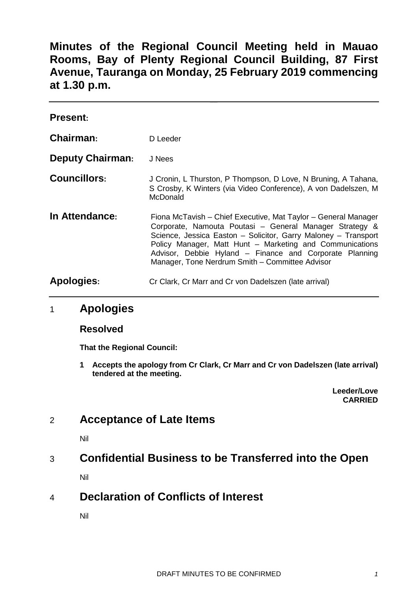**Minutes of the Regional Council Meeting held in Mauao Rooms, Bay of Plenty Regional Council Building, 87 First Avenue, Tauranga on Monday, 25 February 2019 commencing at 1.30 p.m.**

| <b>Present:</b>         |                                                                                                                                                                                                                                                                                                                                                                       |
|-------------------------|-----------------------------------------------------------------------------------------------------------------------------------------------------------------------------------------------------------------------------------------------------------------------------------------------------------------------------------------------------------------------|
| Chairman:               | D Leeder                                                                                                                                                                                                                                                                                                                                                              |
| <b>Deputy Chairman:</b> | J Nees                                                                                                                                                                                                                                                                                                                                                                |
| <b>Councillors:</b>     | J Cronin, L Thurston, P Thompson, D Love, N Bruning, A Tahana,<br>S Crosby, K Winters (via Video Conference), A von Dadelszen, M<br>McDonald                                                                                                                                                                                                                          |
| In Attendance:          | Fiona McTavish – Chief Executive, Mat Taylor – General Manager<br>Corporate, Namouta Poutasi - General Manager Strategy &<br>Science, Jessica Easton - Solicitor, Garry Maloney - Transport<br>Policy Manager, Matt Hunt - Marketing and Communications<br>Advisor, Debbie Hyland - Finance and Corporate Planning<br>Manager, Tone Nerdrum Smith - Committee Advisor |
| <b>Apologies:</b>       | Cr Clark, Cr Marr and Cr von Dadelszen (late arrival)                                                                                                                                                                                                                                                                                                                 |

## 1 **Apologies**

#### **Resolved**

**That the Regional Council:**

**1 Accepts the apology from Cr Clark, Cr Marr and Cr von Dadelszen (late arrival) tendered at the meeting.**

> **Leeder/Love CARRIED**

# 2 **Acceptance of Late Items**

Nil

### 3 **Confidential Business to be Transferred into the Open**

Nil

# 4 **Declaration of Conflicts of Interest**

Nil